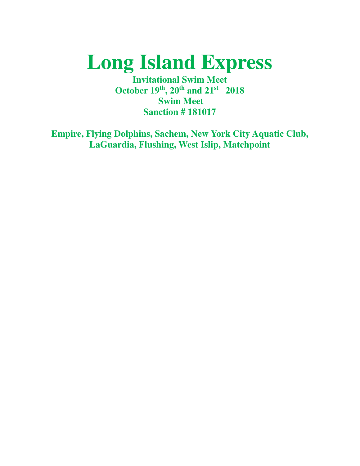# **Long Island Express**

**Invitational Swim Meet October 19th, 20th and 21st 2018 Swim Meet Sanction # 181017** 

**Empire, Flying Dolphins, Sachem, New York City Aquatic Club, LaGuardia, Flushing, West Islip, Matchpoint**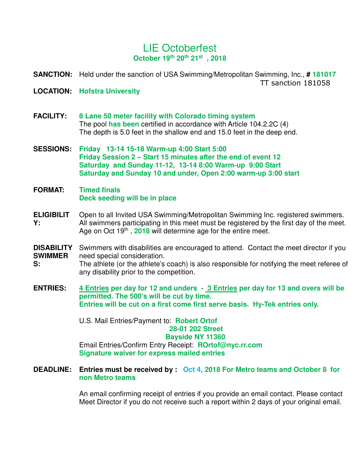# LIE Octoberfest **October 19th 20th 21st , 2018**

**SANCTION:** Held under the sanction of USA Swimming/Metropolitan Swimming, Inc., **# 181017** TT sanction 181058

- **LOCATION: Hofstra University**
- **FACILITY: 8 Lane 50 meter facility with Colorado timing system** The pool **has been** certified in accordance with Article 104.2.2C (4) The depth is 5.0 feet in the shallow end and 15.0 feet in the deep end.
- **SESSIONS: Friday 13-14 15-18 Warm-up 4:00 Start 5:00 Friday Session 2 – Start 15 minutes after the end of event 12 Saturday and Sunday 11-12, 13-14 8:00 Warm-up 9:00 Start Saturday and Sunday 10 and under, Open 2:00 warm-up 3:00 start**
- **FORMAT: Timed finals Deck seeding will be in place**
- **ELIGIBILIT Y:** Open to all Invited USA Swimming/Metropolitan Swimming Inc. registered swimmers. All swimmers participating in this meet must be registered by the first day of the meet. Age on Oct 19<sup>th</sup>, 2018 will determine age for the entire meet.
- **DISABILITY SWIMMER** Swimmers with disabilities are encouraged to attend. Contact the meet director if you need special consideration.
- **S:** The athlete (or the athlete's coach) is also responsible for notifying the meet referee of any disability prior to the competition.
- **ENTRIES: 4 Entries per day for 12 and unders - 3 Entries per day for 13 and overs will be permitted. The 500's will be cut by time. Entries will be cut on a first come first serve basis. Hy-Tek entries only.**

U.S. Mail Entries/Payment to: **Robert Ortof 28-01 202 Street Bayside NY 11360** Email Entries/Confirm Entry Receipt: **ROrtof@nyc.rr.com Signature waiver for express mailed entries**

**DEADLINE: Entries must be received by : Oct 4, 2018 For Metro teams and October 8 for non Metro teams**

> An email confirming receipt of entries if you provide an email contact. Please contact Meet Director if you do not receive such a report within 2 days of your original email.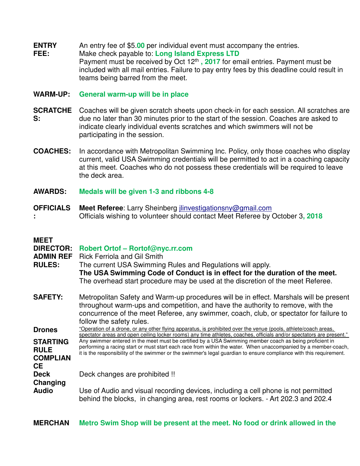**ENTRY**  An entry fee of \$5.**00** per individual event must accompany the entries.

**FEE:** Make check payable to: **Long Island Express LTD** Payment must be received by Oct 12th **, 2017** for email entries. Payment must be included with all mail entries. Failure to pay entry fees by this deadline could result in teams being barred from the meet.

## **WARM-UP: General warm-up will be in place**

- **SCRATCHE** Coaches will be given scratch sheets upon check-in for each session. All scratches are **S:** due no later than 30 minutes prior to the start of the session. Coaches are asked to indicate clearly individual events scratches and which swimmers will not be participating in the session.
- **COACHES:** In accordance with Metropolitan Swimming Inc. Policy, only those coaches who display current, valid USA Swimming credentials will be permitted to act in a coaching capacity at this meet. Coaches who do not possess these credentials will be required to leave the deck area.
- **AWARDS: Medals will be given 1-3 and ribbons 4-8**
- **OFFICIALS : Meet Referee**: Larry Sheinberg jlinvestigationsny@gmail.com Officials wishing to volunteer should contact Meet Referee by October 3**, 2018**

## **MEET**

| NEE I<br><b>DIRECTOR:</b><br><b>ADMIN REF</b><br><b>RULES:</b> | Robert Ortof - Rortof@nyc.rr.com<br><b>Rick Ferriola and Gil Smith</b><br>The current USA Swimming Rules and Regulations will apply.<br>The USA Swimming Code of Conduct is in effect for the duration of the meet.<br>The overhead start procedure may be used at the discretion of the meet Referee.                                           |
|----------------------------------------------------------------|--------------------------------------------------------------------------------------------------------------------------------------------------------------------------------------------------------------------------------------------------------------------------------------------------------------------------------------------------|
| <b>SAFETY:</b>                                                 | Metropolitan Safety and Warm-up procedures will be in effect. Marshals will be present<br>throughout warm-ups and competition, and have the authority to remove, with the<br>concurrence of the meet Referee, any swimmer, coach, club, or spectator for failure to<br>follow the safety rules.                                                  |
| <b>Drones</b>                                                  | "Operation of a drone, or any other flying apparatus, is prohibited over the venue (pools, athlete/coach areas,<br>spectator areas and open ceiling locker rooms) any time athletes, coaches, officials and/or spectators are present."                                                                                                          |
| <b>STARTING</b><br><b>RULE</b><br><b>COMPLIAN</b><br><b>CE</b> | Any swimmer entered in the meet must be certified by a USA Swimming member coach as being proficient in<br>performing a racing start or must start each race from within the water. When unaccompanied by a member-coach,<br>it is the responsibility of the swimmer or the swimmer's legal guardian to ensure compliance with this requirement. |
| <b>Deck</b><br>Changing                                        | Deck changes are prohibited !!                                                                                                                                                                                                                                                                                                                   |
| <b>Audio</b>                                                   | Use of Audio and visual recording devices, including a cell phone is not permitted<br>behind the blocks, in changing area, rest rooms or lockers. - Art 202.3 and 202.4                                                                                                                                                                          |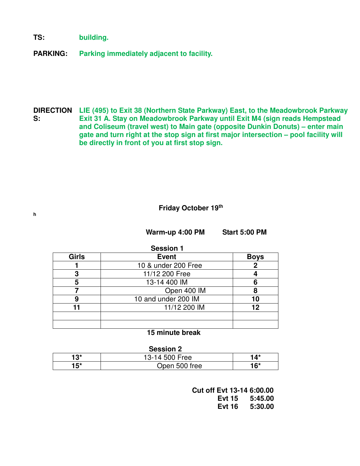**TS: building.**

**h** 

**PARKING: Parking immediately adjacent to facility.**

**DIRECTION LIE (495) to Exit 38 (Northern State Parkway) East, to the Meadowbrook Parkway S: Exit 31 A. Stay on Meadowbrook Parkway until Exit M4 (sign reads Hempstead and Coliseum (travel west) to Main gate (opposite Dunkin Donuts) – enter main gate and turn right at the stop sign at first major intersection – pool facility will be directly in front of you at first stop sign.**

## **Friday October 19th**

**Warm-up 4:00 PM Start 5:00 PM** 

| <b>Session 1</b> |                     |             |
|------------------|---------------------|-------------|
| Girls            | <b>Event</b>        | <b>Boys</b> |
|                  | 10 & under 200 Free | 2           |
| 3                | 11/12 200 Free      |             |
| 5                | 13-14 400 IM        |             |
|                  | Open 400 IM         | 8           |
| 9                | 10 and under 200 IM | 10          |
| 11               | 11/12 200 IM        | 12          |
|                  |                     |             |
|                  |                     |             |
|                  |                     |             |

#### **15 minute break**

#### **Session 2**

| 13*   | 13-14 500 Free | . A*  |
|-------|----------------|-------|
| $15*$ | Open 500 free  | $16*$ |

 **Cut off Evt 13-14 6:00.00 Evt 15 5:45.00 Evt 16 5:30.00**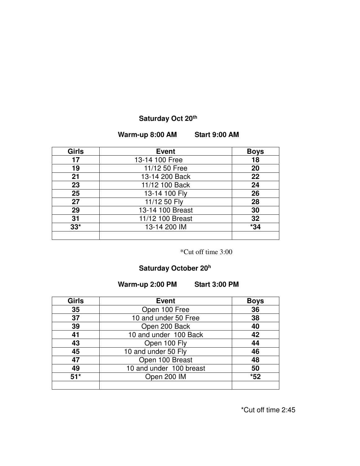# **Saturday Oct 20th**

#### **Warm-up 8:00 AM Start 9:00 AM**

| Girls | <b>Event</b>     | <b>Boys</b> |
|-------|------------------|-------------|
| 17    | 13-14 100 Free   | 18          |
| 19    | 11/12 50 Free    | 20          |
| 21    | 13-14 200 Back   | 22          |
| 23    | 11/12 100 Back   | 24          |
| 25    | 13-14 100 Fly    | 26          |
| 27    | 11/12 50 Fly     | 28          |
| 29    | 13-14 100 Breast | 30          |
| 31    | 11/12 100 Breast | 32          |
| $33*$ | 13-14 200 IM     | $*34$       |
|       |                  |             |

\*Cut off time 3:00

## **Saturday October 20<sup>h</sup>**

# **Warm-up 2:00 PM Start 3:00 PM**

| <b>Girls</b> | <b>Event</b>            | <b>Boys</b> |
|--------------|-------------------------|-------------|
| 35           | Open 100 Free           | 36          |
| 37           | 10 and under 50 Free    | 38          |
| 39           | Open 200 Back           | 40          |
| 41           | 10 and under 100 Back   | 42          |
| 43           | Open 100 Fly            | 44          |
| 45           | 10 and under 50 Fly     | 46          |
| 47           | Open 100 Breast         | 48          |
| 49           | 10 and under 100 breast | 50          |
| $51*$        | Open 200 IM             | $*52$       |
|              |                         |             |

\*Cut off time 2:45